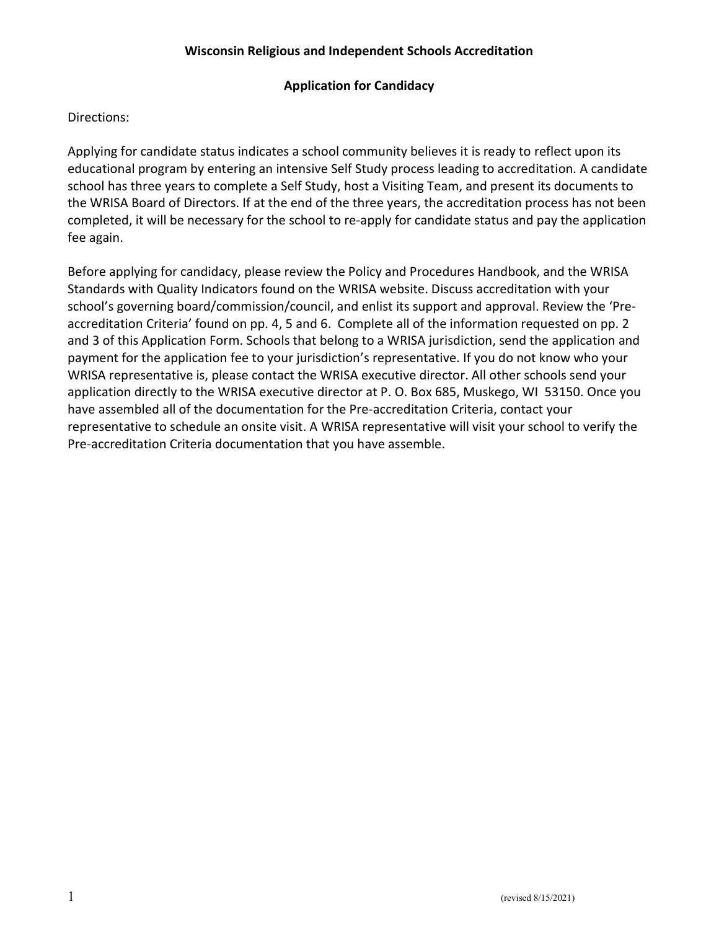# Application for Candidacy

# Directions:

Applying for candidate status indicates a school community believes it is ready to reflect upon its educational program by entering an intensive Self Study process leading to accreditation. A candidate school has three years to complete a Self Study, host a Visiting Team, and present its documents to the WRISA Board of Directors. If at the end of the three years, the accreditation process has not been completed, it will be necessary for the school to re-apply for candidate status and pay the application fee again.

Before applying for candidacy, please review the Policy and Procedures Handbook, and the WRISA Standards with Quality Indicators found on the WRISA website. Discuss accreditation with your school's governing board/commission/council, and enlist its support and approval. Review the 'Preaccreditation Criteria' found on pp. 4, 5 and 6. Complete all of the information requested on pp. 2 and 3 of this Application Form. Schools that belong to a WRISA jurisdiction, send the application and payment for the application fee to your jurisdiction's representative. If you do not know who your WRISA representative is, please contact the WRISA executive director. All other schools send your application directly to the WRISA executive director at P. O. Box 685, Muskego, WI 53150. Once you have assembled all of the documentation for the Pre-accreditation Criteria, contact your representative to schedule an onsite visit. A WRISA representative will visit your school to verify the Pre-accreditation Criteria documentation that you have assemble.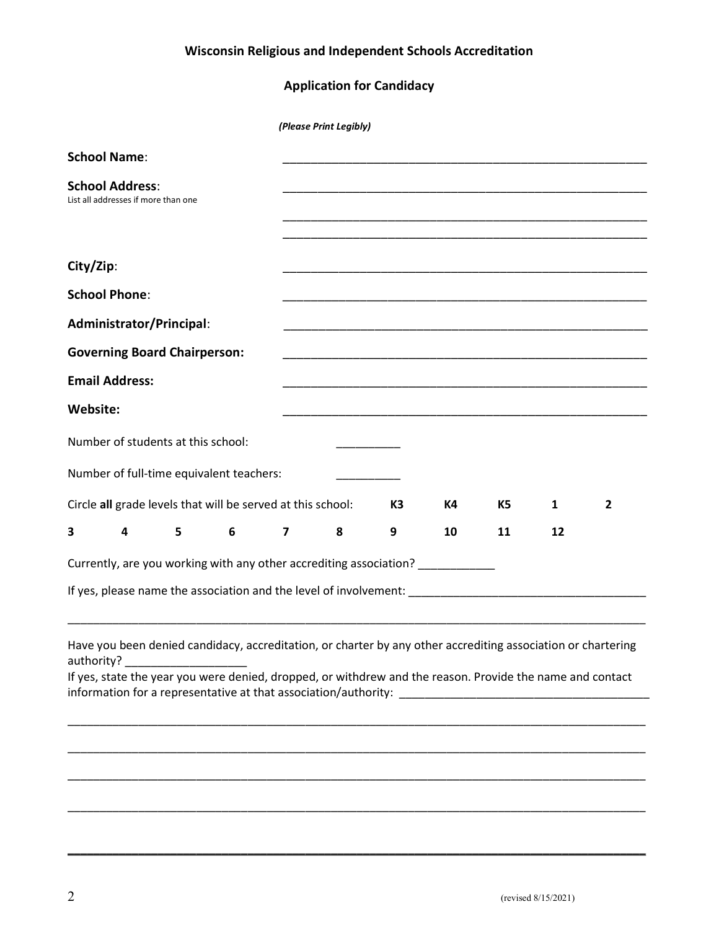# Application for Candidacy

|                                                                                                                                                                                                                                                                                                                                                                                                                                                                          |                                     |                                     |                                                                                 | (Please Print Legibly) |   |                |    |                |    |                |
|--------------------------------------------------------------------------------------------------------------------------------------------------------------------------------------------------------------------------------------------------------------------------------------------------------------------------------------------------------------------------------------------------------------------------------------------------------------------------|-------------------------------------|-------------------------------------|---------------------------------------------------------------------------------|------------------------|---|----------------|----|----------------|----|----------------|
| <b>School Name:</b>                                                                                                                                                                                                                                                                                                                                                                                                                                                      |                                     |                                     |                                                                                 |                        |   |                |    |                |    |                |
| <b>School Address:</b>                                                                                                                                                                                                                                                                                                                                                                                                                                                   | List all addresses if more than one |                                     |                                                                                 |                        |   |                |    |                |    |                |
| City/Zip:                                                                                                                                                                                                                                                                                                                                                                                                                                                                |                                     |                                     |                                                                                 |                        |   |                |    |                |    |                |
| <b>School Phone:</b>                                                                                                                                                                                                                                                                                                                                                                                                                                                     |                                     |                                     |                                                                                 |                        |   |                |    |                |    |                |
|                                                                                                                                                                                                                                                                                                                                                                                                                                                                          | Administrator/Principal:            |                                     |                                                                                 |                        |   |                |    |                |    |                |
|                                                                                                                                                                                                                                                                                                                                                                                                                                                                          |                                     | <b>Governing Board Chairperson:</b> |                                                                                 |                        |   |                |    |                |    |                |
| <b>Email Address:</b>                                                                                                                                                                                                                                                                                                                                                                                                                                                    |                                     |                                     |                                                                                 |                        |   |                |    |                |    |                |
| Website:                                                                                                                                                                                                                                                                                                                                                                                                                                                                 |                                     |                                     |                                                                                 |                        |   |                |    |                |    |                |
|                                                                                                                                                                                                                                                                                                                                                                                                                                                                          |                                     | Number of students at this school:  |                                                                                 |                        |   |                |    |                |    |                |
|                                                                                                                                                                                                                                                                                                                                                                                                                                                                          |                                     |                                     | Number of full-time equivalent teachers:                                        |                        |   |                |    |                |    |                |
|                                                                                                                                                                                                                                                                                                                                                                                                                                                                          |                                     |                                     | Circle all grade levels that will be served at this school:                     |                        |   | K <sub>3</sub> | K4 | K <sub>5</sub> | 1  | $\overline{2}$ |
| 3                                                                                                                                                                                                                                                                                                                                                                                                                                                                        | 4                                   | 5                                   | 6                                                                               | 7                      | 8 | 9              | 10 | 11             | 12 |                |
|                                                                                                                                                                                                                                                                                                                                                                                                                                                                          |                                     |                                     | Currently, are you working with any other accrediting association? ____________ |                        |   |                |    |                |    |                |
|                                                                                                                                                                                                                                                                                                                                                                                                                                                                          |                                     |                                     |                                                                                 |                        |   |                |    |                |    |                |
|                                                                                                                                                                                                                                                                                                                                                                                                                                                                          |                                     |                                     |                                                                                 |                        |   |                |    |                |    |                |
| Have you been denied candidacy, accreditation, or charter by any other accrediting association or chartering<br>authority?<br>If yes, state the year you were denied, dropped, or withdrew and the reason. Provide the name and contact<br>information for a representative at that association/authority: Letter and the control of the control of the control of the control of the control of the control of the control of the control of the control of the control |                                     |                                     |                                                                                 |                        |   |                |    |                |    |                |
|                                                                                                                                                                                                                                                                                                                                                                                                                                                                          |                                     |                                     |                                                                                 |                        |   |                |    |                |    |                |
|                                                                                                                                                                                                                                                                                                                                                                                                                                                                          |                                     |                                     |                                                                                 |                        |   |                |    |                |    |                |

\_\_\_\_\_\_\_\_\_\_\_\_\_\_\_\_\_\_\_\_\_\_\_\_\_\_\_\_\_\_\_\_\_\_\_\_\_\_\_\_\_\_\_\_\_\_\_\_\_\_\_\_\_\_\_\_\_\_\_\_\_\_\_\_\_\_\_\_\_\_\_\_\_\_\_\_\_\_\_\_\_\_\_\_\_\_\_\_\_\_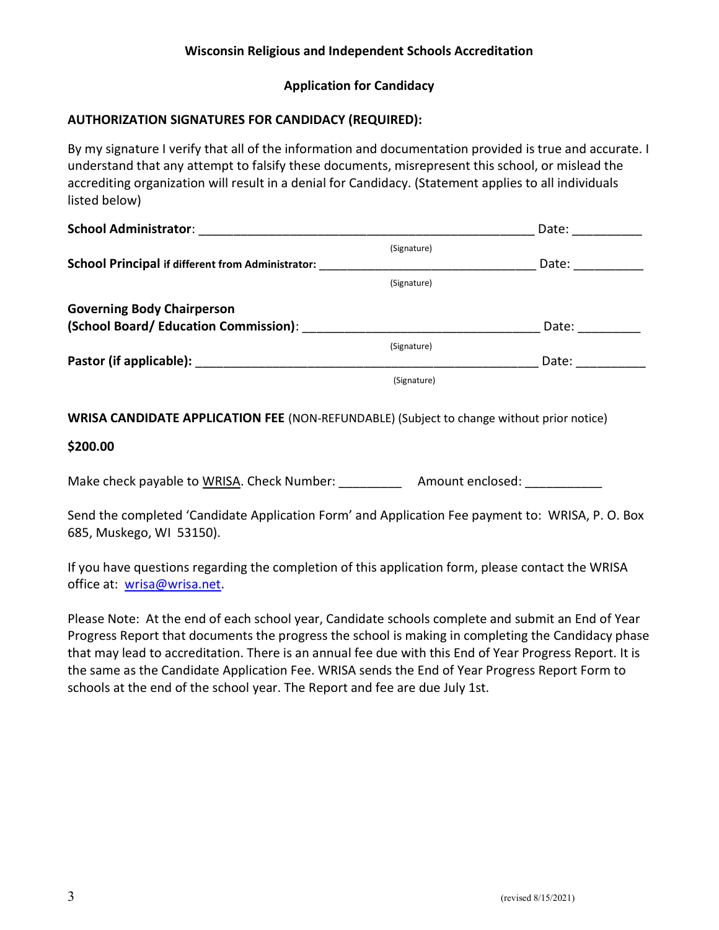# Application for Candidacy

# AUTHORIZATION SIGNATURES FOR CANDIDACY (REQUIRED):

By my signature I verify that all of the information and documentation provided is true and accurate. I understand that any attempt to falsify these documents, misrepresent this school, or mislead the accrediting organization will result in a denial for Candidacy. (Statement applies to all individuals listed below)

| School Administrator:                                     |             | Date: |
|-----------------------------------------------------------|-------------|-------|
|                                                           | (Signature) |       |
| School Principal if different from Administrator:         |             | Date: |
|                                                           | (Signature) |       |
| <b>Governing Body Chairperson</b>                         |             |       |
| (School Board/ Education Commission): www.commission.com/ |             | Date: |
|                                                           | (Signature) |       |
|                                                           |             | Date: |
|                                                           | (Signature) |       |
|                                                           |             |       |
|                                                           |             |       |

WRISA CANDIDATE APPLICATION FEE (NON-REFUNDABLE) (Subject to change without prior notice)

## \$200.00

Make check payable to WRISA. Check Number: \_\_\_\_\_\_\_\_\_\_\_\_ Amount enclosed: \_\_\_\_\_\_\_

Send the completed 'Candidate Application Form' and Application Fee payment to: WRISA, P. O. Box 685, Muskego, WI 53150).

If you have questions regarding the completion of this application form, please contact the WRISA office at: wrisa@wrisa.net.

Please Note: At the end of each school year, Candidate schools complete and submit an End of Year Progress Report that documents the progress the school is making in completing the Candidacy phase that may lead to accreditation. There is an annual fee due with this End of Year Progress Report. It is the same as the Candidate Application Fee. WRISA sends the End of Year Progress Report Form to schools at the end of the school year. The Report and fee are due July 1st.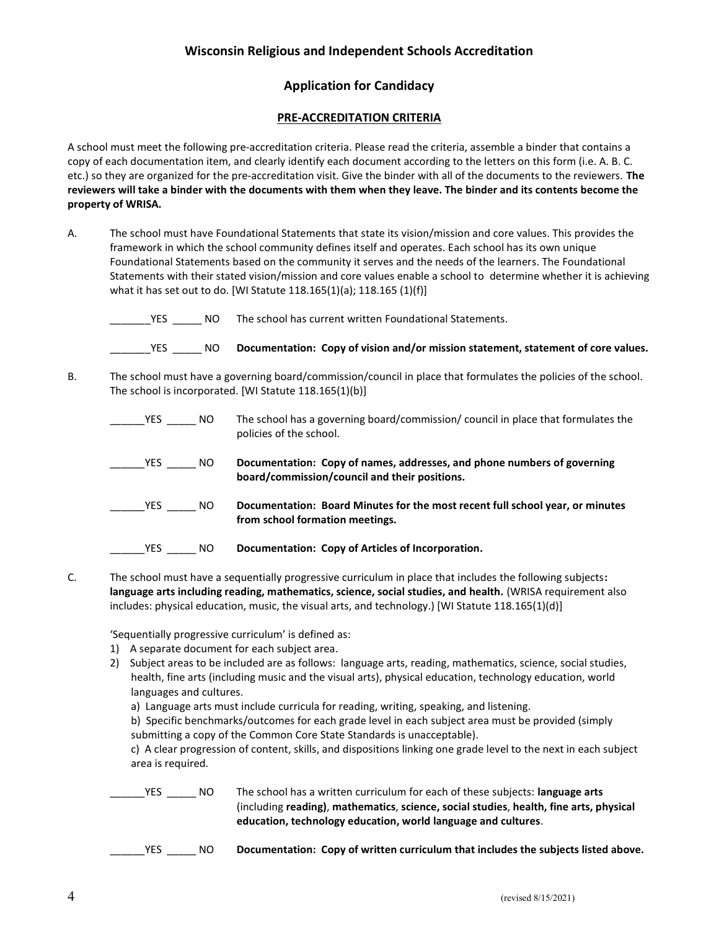### Application for Candidacy

#### PRE-ACCREDITATION CRITERIA

A school must meet the following pre-accreditation criteria. Please read the criteria, assemble a binder that contains a copy of each documentation item, and clearly identify each document according to the letters on this form (i.e. A. B. C. etc.) so they are organized for the pre-accreditation visit. Give the binder with all of the documents to the reviewers. The reviewers will take a binder with the documents with them when they leave. The binder and its contents become the property of WRISA.

A. The school must have Foundational Statements that state its vision/mission and core values. This provides the framework in which the school community defines itself and operates. Each school has its own unique Foundational Statements based on the community it serves and the needs of the learners. The Foundational Statements with their stated vision/mission and core values enable a school to determine whether it is achieving what it has set out to do. [WI Statute 118.165(1)(a); 118.165 (1)(f)]

| YES  | NO. | The school has current written Foundational Statements.                           |
|------|-----|-----------------------------------------------------------------------------------|
| YES. | NO. | Documentation: Copy of vision and/or mission statement, statement of core values. |

B. The school must have a governing board/commission/council in place that formulates the policies of the school. The school is incorporated. [WI Statute 118.165(1)(b)]

| <b>YES</b> | NO. | The school has a governing board/commission/ council in place that formulates the<br>policies of the school.             |
|------------|-----|--------------------------------------------------------------------------------------------------------------------------|
| <b>YES</b> | NO. | Documentation: Copy of names, addresses, and phone numbers of governing<br>board/commission/council and their positions. |
| <b>YES</b> | NO. | Documentation: Board Minutes for the most recent full school year, or minutes<br>from school formation meetings.         |
| <b>YES</b> | NO. | Documentation: Copy of Articles of Incorporation.                                                                        |

C. The school must have a sequentially progressive curriculum in place that includes the following subjects: language arts including reading, mathematics, science, social studies, and health. (WRISA requirement also includes: physical education, music, the visual arts, and technology.) [WI Statute 118.165(1)(d)]

'Sequentially progressive curriculum' is defined as:

- 1) A separate document for each subject area.
- 2) Subject areas to be included are as follows: language arts, reading, mathematics, science, social studies, health, fine arts (including music and the visual arts), physical education, technology education, world languages and cultures.
	- a) Language arts must include curricula for reading, writing, speaking, and listening.
	- b) Specific benchmarks/outcomes for each grade level in each subject area must be provided (simply submitting a copy of the Common Core State Standards is unacceptable).

 c) A clear progression of content, skills, and dispositions linking one grade level to the next in each subject area is required.

YES \_\_\_\_\_\_ NO The school has a written curriculum for each of these subjects: language arts (including reading), mathematics, science, social studies, health, fine arts, physical education, technology education, world language and cultures.

YES \_\_\_\_\_\_\_ NO Documentation: Copy of written curriculum that includes the subjects listed above.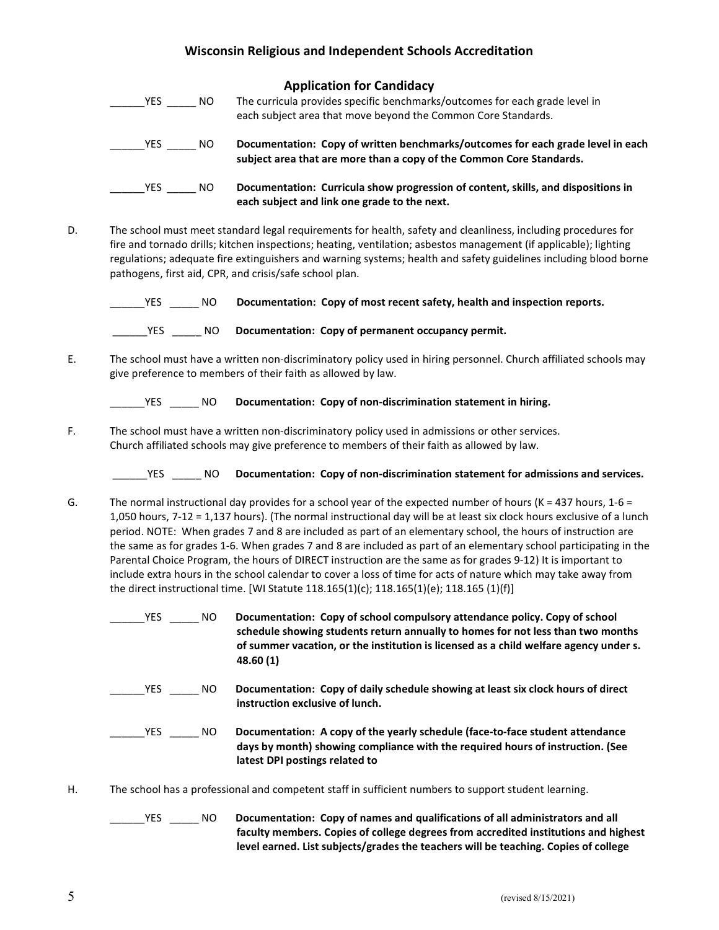|            |     | <b>Application for Candidacy</b>                                                                                                                        |
|------------|-----|---------------------------------------------------------------------------------------------------------------------------------------------------------|
| <b>YES</b> | NO. | The curricula provides specific benchmarks/outcomes for each grade level in<br>each subject area that move beyond the Common Core Standards.            |
| <b>YES</b> | NO. | Documentation: Copy of written benchmarks/outcomes for each grade level in each<br>subject area that are more than a copy of the Common Core Standards. |
| <b>YES</b> | NO. | Documentation: Curricula show progression of content, skills, and dispositions in<br>each subject and link one grade to the next.                       |

D. The school must meet standard legal requirements for health, safety and cleanliness, including procedures for fire and tornado drills; kitchen inspections; heating, ventilation; asbestos management (if applicable); lighting regulations; adequate fire extinguishers and warning systems; health and safety guidelines including blood borne pathogens, first aid, CPR, and crisis/safe school plan.

| <b>YES</b> | NO  | Documentation: Copy of most recent safety, health and inspection reports. |
|------------|-----|---------------------------------------------------------------------------|
| <b>YES</b> | NO. | Documentation: Copy of permanent occupancy permit.                        |

E. The school must have a written non-discriminatory policy used in hiring personnel. Church affiliated schools may give preference to members of their faith as allowed by law.

| YES. |  | Documentation: Copy of non-discrimination statement in hiring. |
|------|--|----------------------------------------------------------------|
|      |  |                                                                |

F. The school must have a written non-discriminatory policy used in admissions or other services. Church affiliated schools may give preference to members of their faith as allowed by law.

\_\_\_\_\_\_YES \_\_\_\_\_ NO Documentation: Copy of non-discrimination statement for admissions and services.

- G. The normal instructional day provides for a school year of the expected number of hours ( $K = 437$  hours,  $1-6 = 1$ ) 1,050 hours, 7-12 = 1,137 hours). (The normal instructional day will be at least six clock hours exclusive of a lunch period. NOTE: When grades 7 and 8 are included as part of an elementary school, the hours of instruction are the same as for grades 1-6. When grades 7 and 8 are included as part of an elementary school participating in the Parental Choice Program, the hours of DIRECT instruction are the same as for grades 9-12) It is important to include extra hours in the school calendar to cover a loss of time for acts of nature which may take away from the direct instructional time. [WI Statute 118.165(1)(c); 118.165(1)(e); 118.165 (1)(f)]
	- The USS Correction of school compulsory attendance policy. Copy of school schedule showing students return annually to homes for not less than two months of summer vacation, or the institution is licensed as a child welfare agency under s. 48.60 (1) \_\_\_\_\_\_YES \_\_\_\_\_\_\_ NO Documentation: Copy of daily schedule showing at least six clock hours of direct instruction exclusive of lunch. \_\_\_\_\_\_YES \_\_\_\_\_ NO Documentation: A copy of the yearly schedule (face-to-face student attendance days by month) showing compliance with the required hours of instruction. (See latest DPI postings related to
- H. The school has a professional and competent staff in sufficient numbers to support student learning.

LES \_\_\_\_\_\_ NO Documentation: Copy of names and qualifications of all administrators and all faculty members. Copies of college degrees from accredited institutions and highest level earned. List subjects/grades the teachers will be teaching. Copies of college